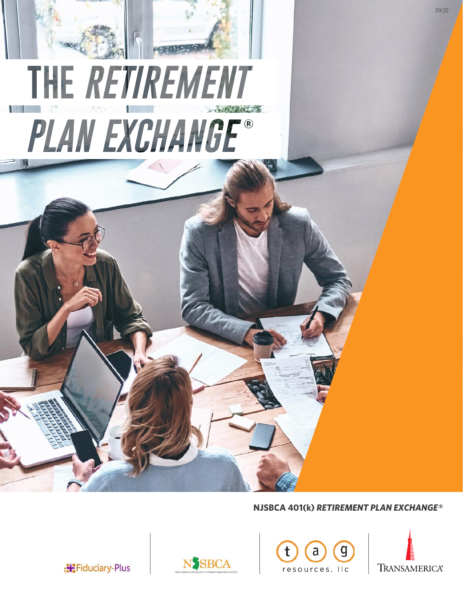

## **NJSBCA 401(k)** *RETIREMENT PLAN EXCHANGE®*





: Fiduciary-Plus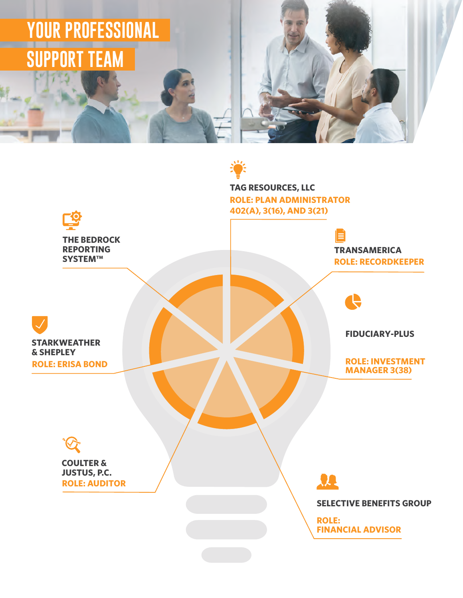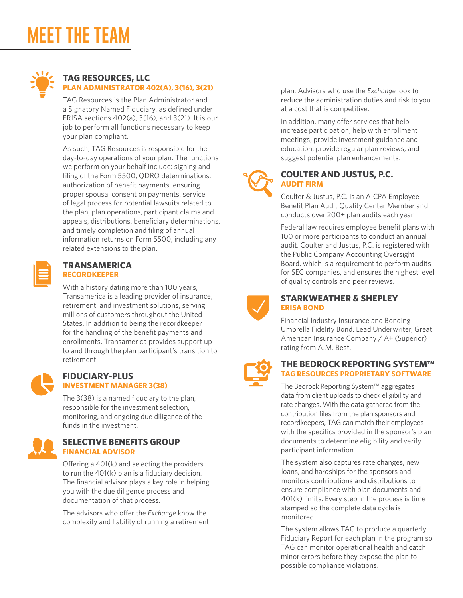# **MEET THE TEAM**



## **TAG RESOURCES, LLC PLAN ADMINISTRATOR 402(A), 3(16), 3(21)**

TAG Resources is the Plan Administrator and a Signatory Named Fiduciary, as defined under ERISA sections 402(a), 3(16), and 3(21). It is our job to perform all functions necessary to keep your plan compliant.

As such, TAG Resources is responsible for the day-to-day operations of your plan. The functions we perform on your behalf include: signing and filing of the Form 5500, QDRO determinations, authorization of benefit payments, ensuring proper spousal consent on payments, service of legal process for potential lawsuits related to the plan, plan operations, participant claims and appeals, distributions, beneficiary determinations, and timely completion and filing of annual information returns on Form 5500, including any related extensions to the plan.

| $\mathcal{L}^{\text{max}}_{\text{max}}$ and $\mathcal{L}^{\text{max}}_{\text{max}}$ and $\mathcal{L}^{\text{max}}_{\text{max}}$ |                                                                                                                                                                                                                                                                    |  |
|---------------------------------------------------------------------------------------------------------------------------------|--------------------------------------------------------------------------------------------------------------------------------------------------------------------------------------------------------------------------------------------------------------------|--|
|                                                                                                                                 | $\mathcal{L}^{\text{max}}_{\text{max}}$ and $\mathcal{L}^{\text{max}}_{\text{max}}$ and $\mathcal{L}^{\text{max}}_{\text{max}}$<br>the contract of the contract of the                                                                                             |  |
|                                                                                                                                 | $\mathcal{L}^{\text{max}}_{\text{max}}$ and $\mathcal{L}^{\text{max}}_{\text{max}}$ and $\mathcal{L}^{\text{max}}_{\text{max}}$<br>$\mathcal{L}^{\text{max}}_{\text{max}}$ and $\mathcal{L}^{\text{max}}_{\text{max}}$ and $\mathcal{L}^{\text{max}}_{\text{max}}$ |  |
|                                                                                                                                 | ______                                                                                                                                                                                                                                                             |  |

#### **TRANSAMERICA RECORDKEEPER**

With a history dating more than 100 years, Transamerica is a leading provider of insurance, retirement, and investment solutions, serving millions of customers throughout the United States. In addition to being the recordkeeper for the handling of the benefit payments and enrollments, Transamerica provides support up to and through the plan participant's transition to retirement.



#### **FIDUCIARY-PLUS INVESTMENT MANAGER 3(38)**

The 3(38) is a named fiduciary to the plan, responsible for the investment selection, monitoring, and ongoing due diligence of the funds in the investment.



## **SELECTIVE BENEFITS GROUP FINANCIAL ADVISOR**

Offering a 401(k) and selecting the providers to run the 401(k) plan is a fiduciary decision. The financial advisor plays a key role in helping you with the due diligence process and documentation of that process.

The advisors who offer the *Exchange* know the complexity and liability of running a retirement plan. Advisors who use the *Exchange* look to reduce the administration duties and risk to you at a cost that is competitive.

In addition, many offer services that help increase participation, help with enrollment meetings, provide investment guidance and education, provide regular plan reviews, and suggest potential plan enhancements.



### **COULTER AND JUSTUS, P.C. AUDIT FIRM**

Coulter & Justus, P.C. is an AICPA Employee Benefit Plan Audit Quality Center Member and conducts over 200+ plan audits each year.

Federal law requires employee benefit plans with 100 or more participants to conduct an annual audit. Coulter and Justus, P.C. is registered with the Public Company Accounting Oversight Board, which is a requirement to perform audits for SEC companies, and ensures the highest level of quality controls and peer reviews.



### **STARKWEATHER & SHEPLEY ERISA BOND**

Financial Industry Insurance and Bonding – Umbrella Fidelity Bond. Lead Underwriter, Great American Insurance Company / A+ (Superior) rating from A.M. Best.



## **THE BEDROCK REPORTING SYSTEM™ TAG RESOURCES PROPRIETARY SOFTWARE**

The Bedrock Reporting System™ aggregates data from client uploads to check eligibility and rate changes. With the data gathered from the contribution files from the plan sponsors and recordkeepers, TAG can match their employees with the specifics provided in the sponsor's plan documents to determine eligibility and verify participant information.

The system also captures rate changes, new loans, and hardships for the sponsors and monitors contributions and distributions to ensure compliance with plan documents and 401(k) limits. Every step in the process is time stamped so the complete data cycle is monitored.

The system allows TAG to produce a quarterly Fiduciary Report for each plan in the program so TAG can monitor operational health and catch minor errors before they expose the plan to possible compliance violations.